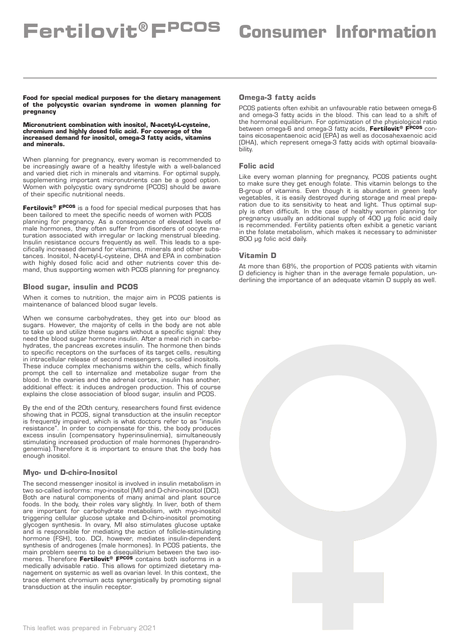**Food for special medical purposes for the dietary management of the polycystic ovarian syndrome in women planning for pregnancy**

**Micronutrient combination with inositol, N-acetyl-L-cysteine, chromium and highly dosed folic acid. For coverage of the increased demand for inositol, omega-3 fatty acids, vitamins and minerals.**

When planning for pregnancy, every woman is recommended to be increasingly aware of a healthy lifestyle with a well-balanced and varied diet rich in minerals and vitamins. For optimal supply, supplementing important micronutrients can be a good option. Women with polycystic ovary syndrome (PCOS) should be aware of their specific nutritional needs.

**Fertilovit® FPCOS** is a food for special medical purposes that has been tailored to meet the specific needs of women with PCOS planning for pregnancy. As a consequence of elevated levels of male hormones, they often suffer from disorders of oocyte maturation associated with irregular or lacking menstrual bleeding. Insulin resistance occurs frequently as well. This leads to a specifically increased demand for vitamins, minerals and other substances. Inositol, N-acetyl-L-cysteine, DHA and EPA in combination with highly dosed folic acid and other nutrients cover this demand, thus supporting women with PCOS planning for pregnancy.

# **Blood sugar, insulin and PCOS**

When it comes to nutrition, the major aim in PCOS patients is maintenance of balanced blood sugar levels.

When we consume carbohydrates, they get into our blood as sugars. However, the majority of cells in the body are not able to take up and utilize these sugars without a specific signal: they need the blood sugar hormone insulin. After a meal rich in carbohydrates, the pancreas excretes insulin. The hormone then binds to specific receptors on the surfaces of its target cells, resulting in intracellular release of second messengers, so-called inositols. These induce complex mechanisms within the cells, which finally prompt the cell to internalize and metabolize sugar from the blood. In the ovaries and the adrenal cortex, insulin has another, additional effect: it induces androgen production. This of course explains the close association of blood sugar, insulin and PCOS.

By the end of the 20th century, researchers found first evidence showing that in PCOS, signal transduction at the insulin receptor is frequently impaired, which is what doctors refer to as "insulin resistance". In order to compensate for this, the body produces excess insulin (compensatory hyperinsulinemia), simultaneously stimulating increased production of male hormones (hyperandrogenemia).Therefore it is important to ensure that the body has enough inositol.

# **Myo- und D-chiro-Inositol**

The second messenger inositol is involved in insulin metabolism in two so-called isoforms: myo-inositol (MI) and D-chiro-inositol (DCI). Both are natural components of many animal and plant source foods. In the body, their roles vary slightly. In liver, both of them are important for carbohydrate metabolism, with myo-inositol triggering cellular glucose uptake and D-chiro-inositol promoting glycogen synthesis. In ovary, MI also stimulates glucose uptake and is responsible for mediating the action of follicle-stimulating hormone (FSH), too. DCI, however, mediates insulin-dependent synthesis of androgenes (male hormones). In PCOS patients, the main problem seems to be a disequilibrium between the two isomeres. Therefore **Fertilovit® FPCOS** contains both isoforms in a medically advisable ratio. This allows for optimized dietetary management on systemic as well as ovarian level. In this context, the trace element chromium acts synergistically by promoting signal transduction at the insulin receptor.

# **Omega-3 fatty acids**

PCOS patients often exhibit an unfavourable ratio between omega-6 and omega-3 fatty acids in the blood. This can lead to a shift of the hormonal equilibrium. For optimization of the physiological ratio between omega-6 and omega-3 fatty acids, **Fertilovit® FPCOS** contains eicosapentaenoic acid (EPA) as well as docosahexaenoic acid (DHA), which represent omega-3 fatty acids with optimal bioavailability.

#### **Folic acid**

Like every woman planning for pregnancy, PCOS patients ought to make sure they get enough folate. This vitamin belongs to the B-group of vitamins. Even though it is abundant in green leafy vegetables, it is easily destroyed during storage and meal preparation due to its sensitivity to heat and light. Thus optimal supply is often difficult. In the case of healthy women planning for pregnancy usually an additional supply of 400 µg folic acid daily is recommended. Fertility patients often exhibit a genetic variant in the folate metabolism, which makes it necessary to administer 800 µg folic acid daily.

### **Vitamin D**

At more than 68%, the proportion of PCOS patients with vitamin D deficiency is higher than in the average female population, underlining the importance of an adequate vitamin D supply as well.